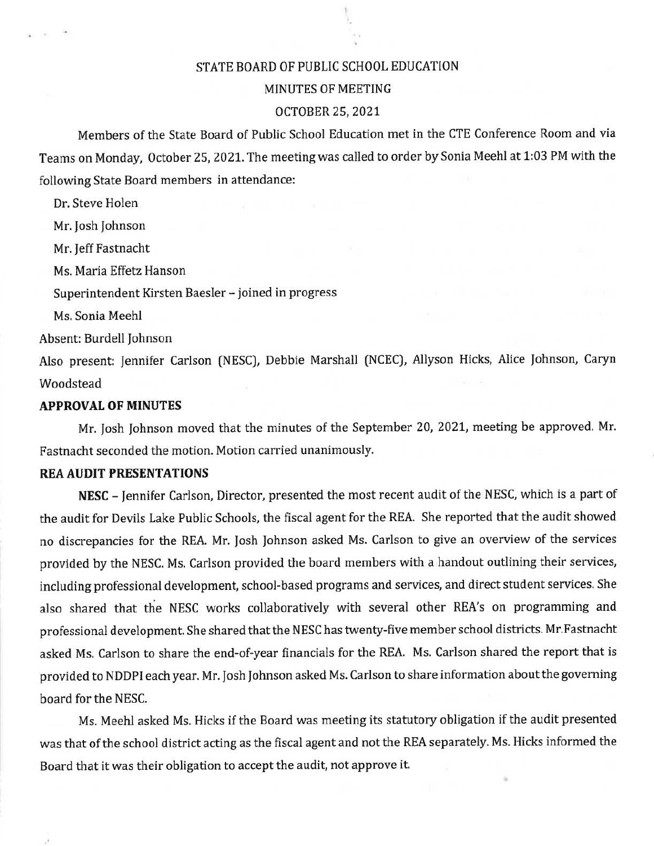# STATE BOARD OF PUBLIC SCHOOL EDUCATION

# MINUTES OF MEETING

#### OCTOBER 25, 2021

Members of the State Board of Public School Education met in the CTE Conference Room and via Teams on Monday, October 25, 2021. The meeting was called to order by Sonia Meehl at 1:03 PM with the following State Board members in attendance:

Dr. Steve Holen

Mr. Josh Johnson

Mr. Jeff Fastnacht

Ms. Maria Effetz Hanson

Superintendent Kirsten Baesler - joined in progress

Ms. Sonia Meehl

Absent: Burdell Johnson

Also present: Jennifer Carlson (NESC), Debbie Marshall (NCEC), Allyson Hicks, Alice Johnson, Caryn Woodstead

### **APPROVAL OF MINUTES**

Mr. Josh Johnson moved that the minutes of the September 20, 2021, meeting be approved. Mr. Fastnacht seconded the motion. Motion carried unanimously.

#### **REA AUDIT PRESENTATIONS**

**NESC** - Jennifer Carlson, Director, presented the most recent audit of the NESC, which is a part of the audit for Devils Lake Public Schools, the fiscal agent for the REA. She reported that the audit showed no discrepancies for the REA. Mr. Josh Johnson asked Ms. Carlson to give an overview of the services provided by the NESC. Ms. Carlson provided the board members with a handout outlining their services, including professional development, school-based programs and services, and direct student services. She also shared that the NESC works collaboratively with several other REA's on programming and professional development. She shared thatthe NESC has twenty-five memberschool districts. Mr.Fastnacht asked Ms. Carlson to share the end~of-year financials for the REA. Ms. Carlson shared the report that is provided to NDDPI each year. Mr. Josh Johnson asked Ms. Carlson to share information about the governing board for the NESC.

Ms. Meehl asked Ms. Hicks if the Board was meeting its statutory obligation if the audit presented was that of the school district acting as the fiscal agent and not the REA separately. Ms. Hicks informed the Board that it was their obligation to accept the audit, not approve it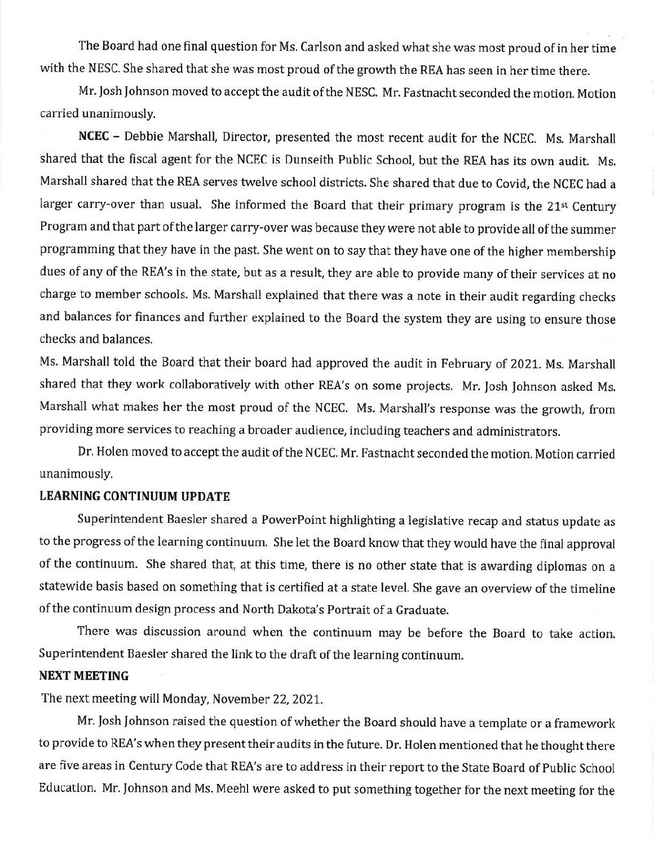The Board had one final question for Ms. Carlson and asked what she was most proud ofin her time with the NESC. She shared that she was most proud of the growth the REA has seen in her time there.

Mr. Josh Johnson moved to accept the audit of the NESC. Mr. Fastnacht seconded the motion. Motion carried unanimously.

**NCEC** - Debbie Marshall, Director, presented the most recent audit for the NCEC. Ms. Marshall shared that the fiscal agent for the NCEC is Dunseith Public School, but the REA has its own audit. Ms. Marshall shared that the REA serves twelve school districts. She shared that due to Covid, the NCEC had a larger carry-over than usual. She informed the Board that their primary program is the 21<sup>st</sup> Century Program and that part of the larger carry-over was because they were not able to provide all of the summer programming that they have in the past. She went on to say that they have one of the higher membership dues of any of the REA's in the state, but as a result, they are able to provide many of their services at no charge to member schools. Ms. Marshall explained that there was a note in their audit regarding checks and balances for finances and further explained to the Board the system they are using to ensure those checks and balances.

Ms. Marshall told the Board that their board had approved the audit in February of 2021. Ms. Marshall shared that they work collaboratively with other REA's on some projects. Mr. Josh Johnson asked Ms. Marshall what makes her the most proud of the NCEC. Ms. Marshall's response was the growth, from providing more services to reaching a broader audience, including teachers and administrators.

Dr. Holen moved to accept the audit of the NCEC. Mr. Fastnacht seconded the motion. Motion carried unanimously.

## **LEARNING CONTINUUM UPDATE**

Superintendent Baesler shared a PowerPoint highlighting a legislative recap and status update as to the progress of the learning continuum. She let the Board know that they would have the final approval of the continuum. She shared that, at this time, there is no other state that is awarding diplomas on a statewide basis based on something that is certified at a state level. She gave an overview of the timeline of the continuum design process and North Dakota's Portrait of a Graduate.

There was discussion around when the continuum may be before the Board to take action. Superintendent Baesler shared the link to the draft of the learning continuum.

### **NEXT MEETING**

The next meeting will Monday, November 22, 2021.

Mr. Josh Johnson raised the question of whether the Board should have a template or a framework to provide to REA's when they present their audits in the future. Dr. Holen mentioned that he thought there are five areas in Century Code that REA's are to address in their report to the State Board of Public School Education. Mr. Johnson and Ms. Meehl were asked to put something together for the next meeting for the